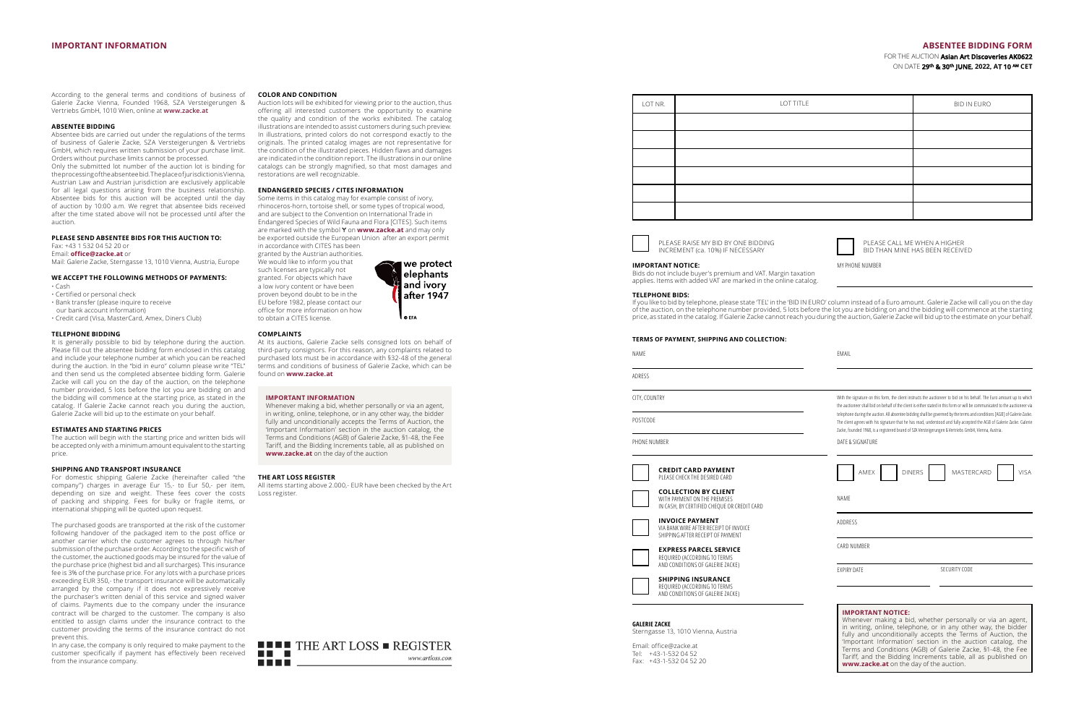## **IMPORTANT INFORMATION ABSENTEE BIDDING FORM**

FOR THE AUCTION **Asian Art Discoveries AK0622** ON DATE **29 th & 30 th JUNE, 2022, AT 10 AM CET**

| LOT NR. | LOT TITLE | BID IN EURO |
|---------|-----------|-------------|
|         |           |             |
|         |           |             |
|         |           |             |
|         |           |             |
|         |           |             |
|         |           |             |



PLEASE RAISE MY BID BY ONE BIDDING INCREMENT (ca. 10%) IF NECESSARY



MY PHONE NUMBER

BID THAN MINE HAS BEEN RECEIVED

'Important Information' section in the auction catalog, the Terms and Conditions (AGB) of Galerie Zacke, §1-48, the Fee Tariff, and the Bidding Increments table, all as published on

**www.zacke.at** on the day of the auction.

**IMPORTANT NOTICE:** 

Bids do not include buyer's premium and VAT. Margin taxation applies. Items with added VAT are marked in the online catalog.

**TERMS OF PAYMENT, SHIPPING AND COLLECTION:**

## **TELEPHONE BIDS:**

If you like to bid by telephone, please state 'TEL' in the 'BID IN EURO' column instead of a Euro amount. Galerie Zacke will call you on the day of the auction, on the telephone number provided, 5 lots before the lot you are bidding on and the bidding will commence at the starting price, as stated in the catalog. If Galerie Zacke cannot reach you during the auction, Galerie Zacke will bid up to the estimate on your behalf.

| <b>ILINIS OF FATINENT, SHIFFHNG AND COLLECTION.</b><br>NAME                                       |                                                                                                            | EMAIL                                                                                                                                                                                                                                                                                                                                                                                                                                                                                      |             |
|---------------------------------------------------------------------------------------------------|------------------------------------------------------------------------------------------------------------|--------------------------------------------------------------------------------------------------------------------------------------------------------------------------------------------------------------------------------------------------------------------------------------------------------------------------------------------------------------------------------------------------------------------------------------------------------------------------------------------|-------------|
| <b>ADRESS</b>                                                                                     |                                                                                                            |                                                                                                                                                                                                                                                                                                                                                                                                                                                                                            |             |
| CITY, COUNTRY                                                                                     |                                                                                                            | With the signature on this form, the client instructs the auctioneer to bid on his behalf. The Euro amount up to which                                                                                                                                                                                                                                                                                                                                                                     |             |
| POSTCODE                                                                                          |                                                                                                            | the auctioneer shall bid on behalf of the client is either stated in this form or will be communicated to the auctioneer via<br>telephone during the auction. All absentee bidding shall be governed by the terms and conditions [AGB] of Galerie Zacke.<br>The client agrees with his signature that he has read, understood and fully accepted the AGB of Galerie Zacke. Galerie<br>Zacke, founded 1968, is a registered brand of SZA Versteigerungen & Vertriebs GmbH, Vienna, Austria. |             |
| PHONE NUMBER                                                                                      |                                                                                                            | DATE & SIGNATURE                                                                                                                                                                                                                                                                                                                                                                                                                                                                           |             |
|                                                                                                   | <b>CREDIT CARD PAYMENT</b><br>PLEASE CHECK THE DESIRED CARD                                                | MASTERCARD<br>AMEX<br><b>DINERS</b>                                                                                                                                                                                                                                                                                                                                                                                                                                                        | <b>VISA</b> |
|                                                                                                   | <b>COLLECTION BY CLIENT</b><br>WITH PAYMENT ON THE PREMISES<br>IN CASH, BY CERTIFIED CHEQUE OR CREDIT CARD | <b>NAMF</b>                                                                                                                                                                                                                                                                                                                                                                                                                                                                                |             |
|                                                                                                   | <b>INVOICE PAYMENT</b><br>VIA BANK WIRE AFTER RECEIPT OF INVOICE<br>SHIPPING AFTER RECEIPT OF PAYMENT      | ADDRESS                                                                                                                                                                                                                                                                                                                                                                                                                                                                                    |             |
| <b>EXPRESS PARCEL SERVICE</b><br>REQUIRED (ACCORDING TO TERMS<br>AND CONDITIONS OF GALERIE ZACKE) |                                                                                                            | CARD NUMBER                                                                                                                                                                                                                                                                                                                                                                                                                                                                                |             |
|                                                                                                   | <b>SHIPPING INSURANCE</b><br>REQUIRED (ACCORDING TO TERMS<br>AND CONDITIONS OF GALERIE ZACKE)              | <b>EXPIRY DATE</b><br>SECURITY CODE                                                                                                                                                                                                                                                                                                                                                                                                                                                        |             |
| <b>GALERIE ZACKE</b><br>Sterngasse 13, 1010 Vienna, Austria                                       |                                                                                                            | <b>IMPORTANT NOTICE:</b><br>Whenever making a bid, whether personally or via an agent,<br>in writing, online, telephone, or in any other way, the bidder<br>fully and unconditionally accepts the Terms of Auction, the                                                                                                                                                                                                                                                                    |             |

Email: office@zacke.at Tel: +43-1-532 04 52 Fax: +43-1-532 04 52 20